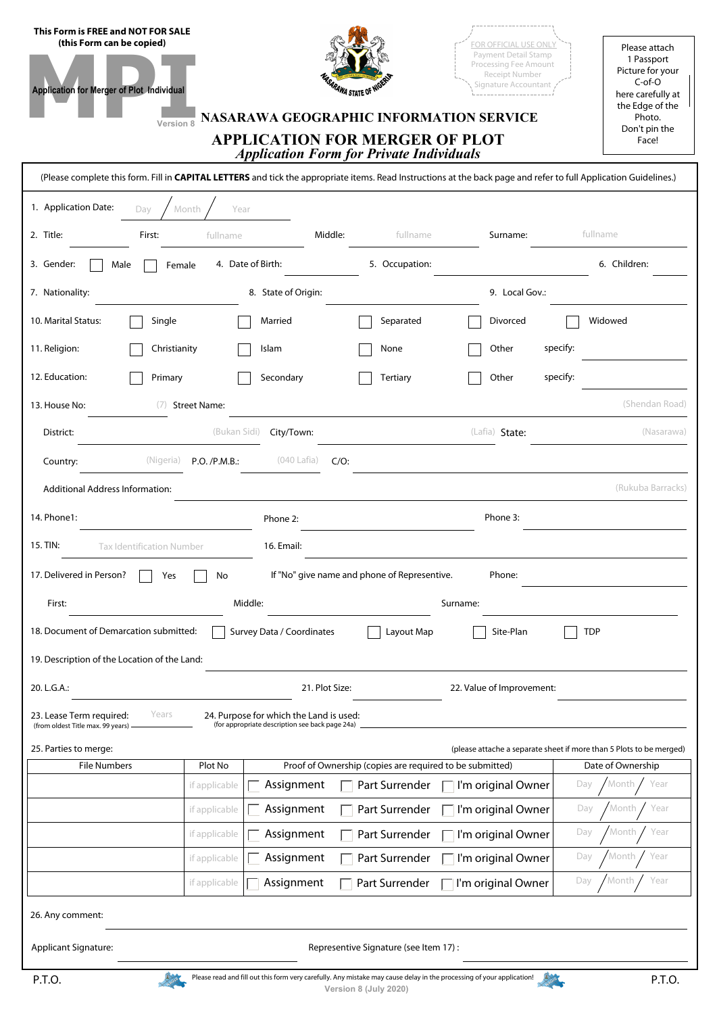| This Form is FREE and NOT FOR SALE<br>(this Form can be copied)<br>Application for Merger of Plot Individual<br>Version 8                                                                                            | NASARAWA GEOGRAPHIC INFORMATION SERVICE<br><b>APPLICATION FOR MERGER OF PLOT</b>                                      | <b>ARAWA STATE OF N</b>                                  | FOR OFFICIAL USE ONLY<br>Payment Detail Stamp<br>Processing Fee Amount<br>Receipt Number<br>Signature Accountant | Please attach<br>1 Passport<br>Picture for your<br>$C$ -of-O<br>here carefully at<br>the Edge of the<br>Photo.<br>Don't pin the<br>Face! |  |  |  |  |  |
|----------------------------------------------------------------------------------------------------------------------------------------------------------------------------------------------------------------------|-----------------------------------------------------------------------------------------------------------------------|----------------------------------------------------------|------------------------------------------------------------------------------------------------------------------|------------------------------------------------------------------------------------------------------------------------------------------|--|--|--|--|--|
| <b>Application Form for Private Individuals</b><br>(Please complete this form. Fill in CAPITAL LETTERS and tick the appropriate items. Read Instructions at the back page and refer to full Application Guidelines.) |                                                                                                                       |                                                          |                                                                                                                  |                                                                                                                                          |  |  |  |  |  |
|                                                                                                                                                                                                                      |                                                                                                                       |                                                          |                                                                                                                  |                                                                                                                                          |  |  |  |  |  |
| 1. Application Date:<br>Dav                                                                                                                                                                                          | Year<br>Month                                                                                                         |                                                          |                                                                                                                  |                                                                                                                                          |  |  |  |  |  |
| 2. Title:<br>First:                                                                                                                                                                                                  | Middle:<br>fullname                                                                                                   | fullname                                                 | Surname:                                                                                                         | fullname                                                                                                                                 |  |  |  |  |  |
| 3. Gender:<br>Male                                                                                                                                                                                                   | 4. Date of Birth:<br>Female                                                                                           | 5. Occupation:                                           |                                                                                                                  | 6. Children:                                                                                                                             |  |  |  |  |  |
| 7. Nationality:                                                                                                                                                                                                      | 8. State of Origin:                                                                                                   |                                                          | 9. Local Gov.:                                                                                                   |                                                                                                                                          |  |  |  |  |  |
| 10. Marital Status:<br>Single                                                                                                                                                                                        | Married                                                                                                               | Separated                                                | Divorced                                                                                                         | Widowed                                                                                                                                  |  |  |  |  |  |
| 11. Religion:<br>Christianity                                                                                                                                                                                        | Islam                                                                                                                 | None                                                     | Other<br>specify:                                                                                                |                                                                                                                                          |  |  |  |  |  |
| 12. Education:<br>Primary                                                                                                                                                                                            | Secondary                                                                                                             | Tertiary                                                 | specify:<br>Other                                                                                                |                                                                                                                                          |  |  |  |  |  |
| 13. House No:<br>(7)                                                                                                                                                                                                 | <b>Street Name:</b>                                                                                                   |                                                          |                                                                                                                  | (Shendan Road)                                                                                                                           |  |  |  |  |  |
| District:                                                                                                                                                                                                            | (Bukan Sidi)<br>City/Town:                                                                                            |                                                          | (Lafia) State:                                                                                                   | (Nasarawa)                                                                                                                               |  |  |  |  |  |
| (Nigeria)<br>Country:                                                                                                                                                                                                | (040 Lafia)<br>$C/O$ :<br>P.O. / P.M.B.:                                                                              |                                                          |                                                                                                                  |                                                                                                                                          |  |  |  |  |  |
| <b>Additional Address Information:</b>                                                                                                                                                                               |                                                                                                                       |                                                          |                                                                                                                  | (Rukuba Barracks)                                                                                                                        |  |  |  |  |  |
| 14. Phone1:                                                                                                                                                                                                          |                                                                                                                       |                                                          | Phone 3:                                                                                                         |                                                                                                                                          |  |  |  |  |  |
|                                                                                                                                                                                                                      | Phone 2:                                                                                                              |                                                          |                                                                                                                  |                                                                                                                                          |  |  |  |  |  |
| 15. TIN:<br><b>Tax Identification Number</b>                                                                                                                                                                         | 16. Email:                                                                                                            |                                                          |                                                                                                                  |                                                                                                                                          |  |  |  |  |  |
| 17. Delivered in Person?<br>Yes                                                                                                                                                                                      | No                                                                                                                    | If "No" give name and phone of Representive.             | Phone:                                                                                                           |                                                                                                                                          |  |  |  |  |  |
| First:                                                                                                                                                                                                               | Middle:                                                                                                               |                                                          | Surname:                                                                                                         |                                                                                                                                          |  |  |  |  |  |
| 18. Document of Demarcation submitted:<br>Survey Data / Coordinates<br>Layout Map<br>Site-Plan<br><b>TDP</b>                                                                                                         |                                                                                                                       |                                                          |                                                                                                                  |                                                                                                                                          |  |  |  |  |  |
| 19. Description of the Location of the Land:                                                                                                                                                                         |                                                                                                                       |                                                          |                                                                                                                  |                                                                                                                                          |  |  |  |  |  |
| 20. L.G.A.:                                                                                                                                                                                                          | 21. Plot Size:                                                                                                        |                                                          | 22. Value of Improvement:                                                                                        |                                                                                                                                          |  |  |  |  |  |
| 23. Lease Term required:<br>Years                                                                                                                                                                                    | 24. Purpose for which the Land is used:<br>(for appropriate description see back page 24a)                            |                                                          |                                                                                                                  |                                                                                                                                          |  |  |  |  |  |
| (from oldest Title max. 99 years)<br>25. Parties to merge:                                                                                                                                                           |                                                                                                                       |                                                          |                                                                                                                  | (please attache a separate sheet if more than 5 Plots to be merged)                                                                      |  |  |  |  |  |
| <b>File Numbers</b>                                                                                                                                                                                                  | Plot No                                                                                                               | Proof of Ownership (copies are required to be submitted) |                                                                                                                  | Date of Ownership                                                                                                                        |  |  |  |  |  |
|                                                                                                                                                                                                                      | Assignment<br>if applicable                                                                                           | Part Surrender                                           | I'm original Owner                                                                                               | Month<br>Year<br>Day                                                                                                                     |  |  |  |  |  |
|                                                                                                                                                                                                                      | Assignment<br>if applicable                                                                                           | Part Surrender                                           | I'm original Owner                                                                                               | Month<br>Year<br>Day                                                                                                                     |  |  |  |  |  |
|                                                                                                                                                                                                                      | Assignment<br>if applicable                                                                                           | Part Surrender                                           | $\overline{\phantom{a}}$ I'm original Owner                                                                      | Year<br>Month<br>Day                                                                                                                     |  |  |  |  |  |
|                                                                                                                                                                                                                      | Assignment<br>if applicable                                                                                           | Part Surrender                                           | The original Owner                                                                                               | Year<br>Day<br>Month                                                                                                                     |  |  |  |  |  |
|                                                                                                                                                                                                                      | Assignment<br>if applicable                                                                                           | Part Surrender                                           | I'm original Owner                                                                                               | Year<br>Day<br>Month                                                                                                                     |  |  |  |  |  |
| 26. Any comment:                                                                                                                                                                                                     |                                                                                                                       |                                                          |                                                                                                                  |                                                                                                                                          |  |  |  |  |  |
| <b>Applicant Signature:</b>                                                                                                                                                                                          |                                                                                                                       | Representive Signature (see Item 17):                    |                                                                                                                  |                                                                                                                                          |  |  |  |  |  |
| P.T.O.                                                                                                                                                                                                               | Please read and fill out this form very carefully. Any mistake may cause delay in the processing of your application! | Version 8 (July 2020)                                    |                                                                                                                  | P.T.O.                                                                                                                                   |  |  |  |  |  |